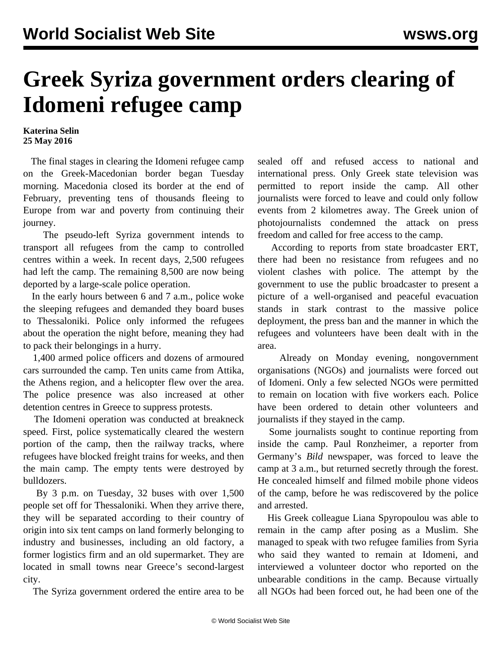## **Greek Syriza government orders clearing of Idomeni refugee camp**

**Katerina Selin 25 May 2016**

 The final stages in clearing the Idomeni refugee camp on the Greek-Macedonian border began Tuesday morning. Macedonia closed its border at the end of February, preventing tens of thousands fleeing to Europe from war and poverty from continuing their journey.

 The pseudo-left Syriza government intends to transport all refugees from the camp to controlled centres within a week. In recent days, 2,500 refugees had left the camp. The remaining 8,500 are now being deported by a large-scale police operation.

 In the early hours between 6 and 7 a.m., police woke the sleeping refugees and demanded they board buses to Thessaloniki. Police only informed the refugees about the operation the night before, meaning they had to pack their belongings in a hurry.

 1,400 armed police officers and dozens of armoured cars surrounded the camp. Ten units came from Attika, the Athens region, and a helicopter flew over the area. The police presence was also increased at other detention centres in Greece to suppress protests.

 The Idomeni operation was conducted at breakneck speed. First, police systematically cleared the western portion of the camp, then the railway tracks, where refugees have blocked freight trains for weeks, and then the main camp. The empty tents were destroyed by bulldozers.

 By 3 p.m. on Tuesday, 32 buses with over 1,500 people set off for Thessaloniki. When they arrive there, they will be separated according to their country of origin into six tent camps on land formerly belonging to industry and businesses, including an old factory, a former logistics firm and an old supermarket. They are located in small towns near Greece's second-largest city.

The Syriza government ordered the entire area to be

sealed off and refused access to national and international press. Only Greek state television was permitted to report inside the camp. All other journalists were forced to leave and could only follow events from 2 kilometres away. The Greek union of photojournalists condemned the attack on press freedom and called for free access to the camp.

 According to reports from state broadcaster ERT, there had been no resistance from refugees and no violent clashes with police. The attempt by the government to use the public broadcaster to present a picture of a well-organised and peaceful evacuation stands in stark contrast to the massive police deployment, the press ban and the manner in which the refugees and volunteers have been dealt with in the area.

 Already on Monday evening, nongovernment organisations (NGOs) and journalists were forced out of Idomeni. Only a few selected NGOs were permitted to remain on location with five workers each. Police have been ordered to detain other volunteers and journalists if they stayed in the camp.

 Some journalists sought to continue reporting from inside the camp. Paul Ronzheimer, a reporter from Germany's *Bild* newspaper, was forced to leave the camp at 3 a.m., but returned secretly through the forest. He concealed himself and filmed mobile phone videos of the camp, before he was rediscovered by the police and arrested.

 His Greek colleague Liana Spyropoulou was able to remain in the camp after posing as a Muslim. She managed to speak with two refugee families from Syria who said they wanted to remain at Idomeni, and interviewed a volunteer doctor who reported on the unbearable conditions in the camp. Because virtually all NGOs had been forced out, he had been one of the